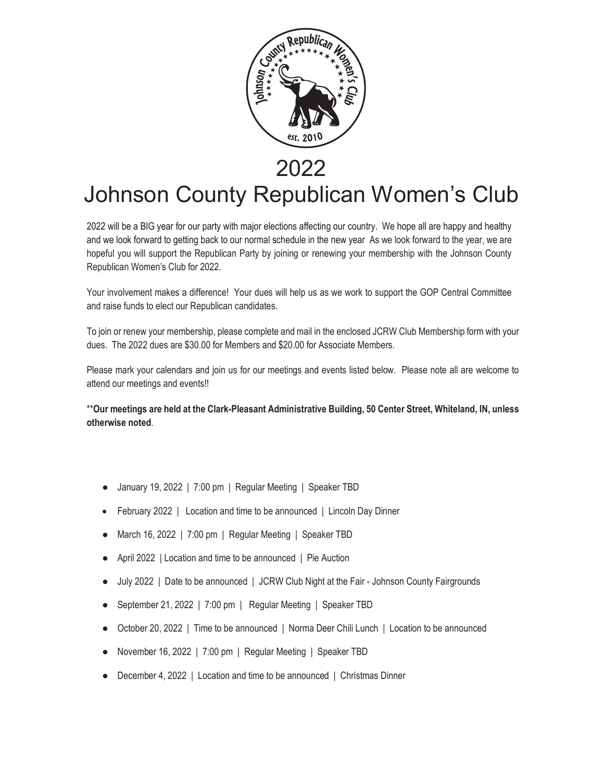

## 2022

## Johnson County Republican Women's Club Johnson County Republican Women's Club

hopeful you will support the Republican Party by joining or renewing your membership with the Johnson County Republican Women's Club for 2022. 2022 will be a BIG year for our party with major elections affecting our country. We hope all are happy and healthy and we look forward to getting back to our normal schedule in the new year As we look forward to the year, we are

Your involvement makes a difference! Your dues will help us as we work to support the GOP Central Committee and raise funds to elect our Republican candidates.

To join or renew your membership, please complete and mail in the enclosed JCRW Club Membership form with your dues. The 2022 dues are \$30.00 for Members and \$20.00 for Associate Members.

attend our meetings and events!! Please mark your calendars and join us for our meetings and events listed below. Please note all are welcome to

**Please mark your calendars and join us for our meetings and events listed below. Please note all are welcome to the welcome to the events listed below. Please note all are welcome to the welcome to the welcome to the welc** \*\***Our meetings are held at the Clark-Pleasant Administrative Building, 50 Center Street, Whiteland, IN, unless otherwise noted**.

- **otherwise noted**. ● January 19, 2022 | 7:00 pm | Regular Meeting | Speaker TBD
	- February 2022 | Location and time to be announced | Lincoln Day Dinner
	- March 16, 2022 | 7:00 pm | Regular Meeting | Speaker TBD
	- January 19, 2022 | 7:00 pm | Regular Meeting | Speaker TBD April 2022 | Location and time to be announced | Pie Auction
		- July 2022 | Date to be announced | JCRW Club Night at the Fair Johnson County Fairgrounds
	- September 21, 2022 | 7:00 pm | Regular Meeting | Speaker TBD
	- October 20, 2022 | Time to be announced | Norma Deer Chili Lunch | Location to be announced
	- November 16, 2022 | 7:00 pm | Regular Meeting | Speaker TBD
	- December 4, 2022 | Location and time to be announced | Christmas Dinner